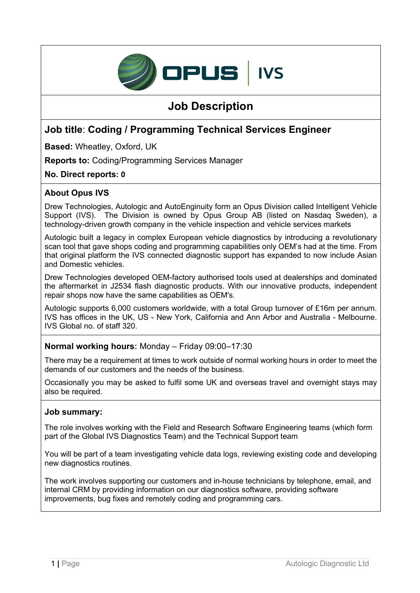

# **Job Description**

# **Job title**: **Coding / Programming Technical Services Engineer**

**Based:** Wheatley, Oxford, UK

**Reports to:** Coding/Programming Services Manager

**No. Direct reports: 0**

# **About Opus IVS**

Drew Technologies, Autologic and AutoEnginuity form an Opus Division called Intelligent Vehicle Support (IVS). The Division is owned by Opus Group AB (listed on Nasdaq Sweden), a technology-driven growth company in the vehicle inspection and vehicle services markets

Autologic built a legacy in complex European vehicle diagnostics by introducing a revolutionary scan tool that gave shops coding and programming capabilities only OEM's had at the time. From that original platform the IVS connected diagnostic support has expanded to now include Asian and Domestic vehicles.

Drew Technologies developed OEM-factory authorised tools used at dealerships and dominated the aftermarket in J2534 flash diagnostic products. With our innovative products, independent repair shops now have the same capabilities as OEM's.

Autologic supports 6,000 customers worldwide, with a total Group turnover of £16m per annum. IVS has offices in the UK, US - New York, California and Ann Arbor and Australia - Melbourne. IVS Global no. of staff 320.

#### **Normal working hours:** Monday – Friday 09:00–17:30

There may be a requirement at times to work outside of normal working hours in order to meet the demands of our customers and the needs of the business.

Occasionally you may be asked to fulfil some UK and overseas travel and overnight stays may also be required.

#### **Job summary:**

The role involves working with the Field and Research Software Engineering teams (which form part of the Global IVS Diagnostics Team) and the Technical Support team

You will be part of a team investigating vehicle data logs, reviewing existing code and developing new diagnostics routines.

The work involves supporting our customers and in-house technicians by telephone, email, and internal CRM by providing information on our diagnostics software, providing software improvements, bug fixes and remotely coding and programming cars.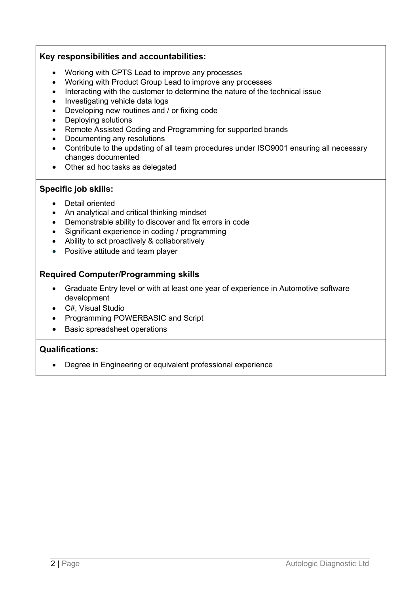#### **Key responsibilities and accountabilities:**

- Working with CPTS Lead to improve any processes
- Working with Product Group Lead to improve any processes
- Interacting with the customer to determine the nature of the technical issue
- Investigating vehicle data logs
- Developing new routines and / or fixing code
- Deploying solutions
- Remote Assisted Coding and Programming for supported brands
- Documenting any resolutions
- Contribute to the updating of all team procedures under ISO9001 ensuring all necessary changes documented
- Other ad hoc tasks as delegated

# **Specific job skills:**

- Detail oriented
- An analytical and critical thinking mindset
- Demonstrable ability to discover and fix errors in code
- Significant experience in coding / programming
- Ability to act proactively & collaboratively
- Positive attitude and team player

# **Required Computer/Programming skills**

- Graduate Entry level or with at least one year of experience in Automotive software development
- C#, Visual Studio
- Programming POWERBASIC and Script
- Basic spreadsheet operations

# **Qualifications:**

• Degree in Engineering or equivalent professional experience